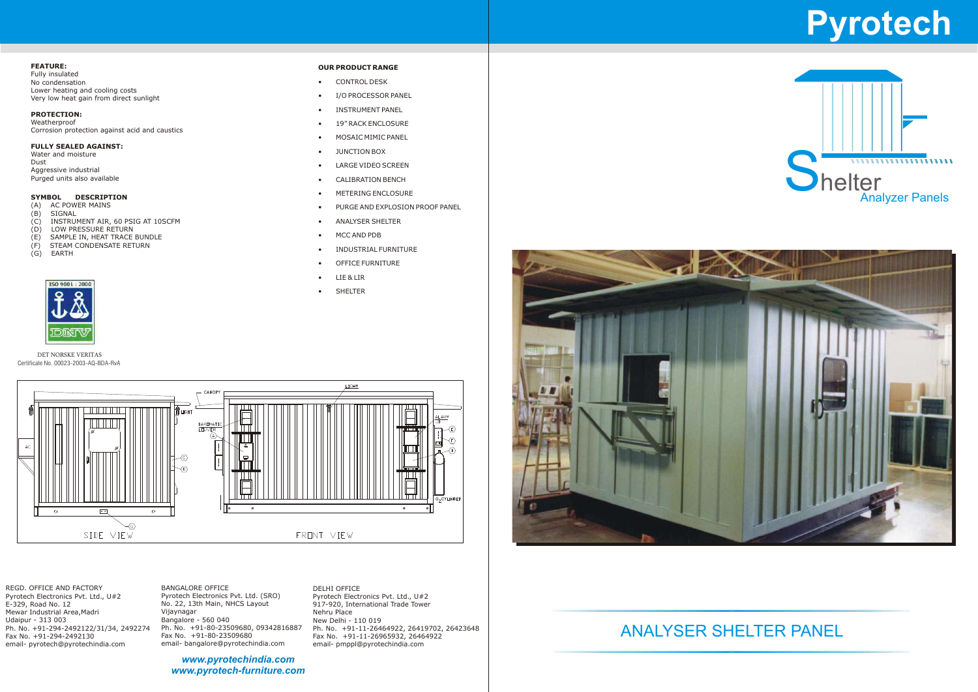#### **FEATURE:**

Fully insulated No condensation Lower heating and cooling costs Very low heat gain from direct sunlight

#### **PROTECTION:**

Weatherproof Corrosion protection against acid and caustics

#### **FULLY SEALED AGAINST:**

Water and moisture Dust Aggressive industrial Purged units also available

### **SYMBOL DESCRIPTION**<br>(A) AC POWER MAINS

- (A) AC POWER MAINS<br>(B) SIGNAL
- (B) SIGNAL<br>(C) INSTRUI<br>(D) LOW PR
- INSTRUMENT AIR, 60 PSIG AT 10SCFM
- (D) LOW PRESSURE RETURN<br>(E) SAMPLE IN, HEAT TRACE<br>(F) STEAM CONDENSATE RET<br>(G) EARTH
- SAMPLE IN, HEAT TRACE BUNDLE
- STEAM CONDENSATE RETURN
- **EARTH**



REGD. OFFICE AND FACTORY Pyrotech Electronics Pvt. Ltd., U#2 E-329, Road No. 12 Mewar Industrial Area,Madri Udaipur - 313 003 Ph. No. +91-294-2492122/31/34, 2492274 Fax No. +91-294-2492130 email- pyrotech@pyrotechindia.com

- **CONTROL DESK**
- I/O PROCESSOR PANEL
- INSTRUMENT PANEL
- 19" RACK ENCLOSURE
- MOSAIC MIMIC PANEL
- JUNCTION BOX
- LARGE VIDEO SCREEN
- CALIBRATION BENCH
- METERING ENCLOSURE
- PURGE AND EXPLOSION PROOF PANEL
- ANALYSER SHELTER
- MCC AND PDB
- INDUSTRIAL FURNITURE
- OFFICE FURNITURE
- LIE & LIR
- SHELTER



DELHI OFFICE Pyrotech Electronics Pvt. Ltd., U#2 917-920, International Trade Tower Nehru Place New Delhi - 110 019 Ph. No. +91-11-26464922, 26419702, 26423648 Fax No. +91-11-26965932, 26464922 email- pmppl@pyrotechindia.com





BANGALORE OFFICE Pyrotech Electronics Pvt. Ltd. (SRO) No. 22, 13th Main, NHCS Layout Vijaynagar Bangalore - 560 040 Ph. No. +91-80-23509680, 09342816887 Fax No. +91-80-23509680 email- bangalore@pyrotechindia.com

## ANALYSER SHELTER PANEL

#### DET NORSKE VERITAS Certificate No. 00023-2003-AQ-BDA-RvA

# **Pyrotech**



*www.pyrotechindia.com www.pyrotech-furniture.com*